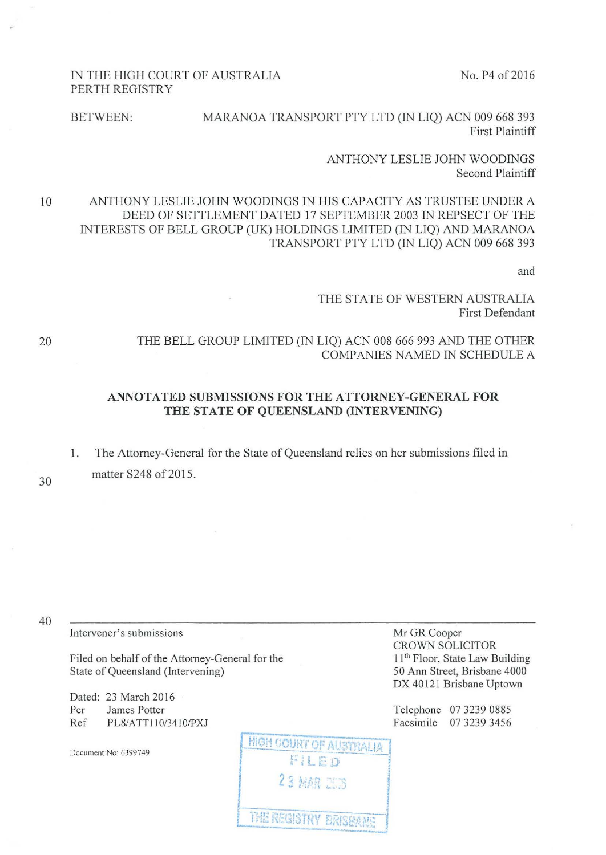No. P<sub>4</sub> of 2016

## IN THE HIGH COURT OF AUSTRALIA PERTH REGISTRY

BETWEEN: MARANOA TRANSPORT PTY LTD (IN LIQ) ACN 009 668 393 First Plaintiff

> ANTHONY LESLIE JOHN WOODINGS Second Plaintiff

10 ANTHONY LESLIE JOHN WOODINGS IN HIS CAPACITY AS TRUSTEE UNDER A DEED OF SETTLEMENT DATED 17 SEPTEMBER 2003 IN REPSECT OF THE INTERESTS OF BELL GROUP (UK) HOLDINGS LIMITED (IN LIQ) AND MARANOA TRANSPORT PTY LTD (IN LIQ) ACN 009 668 393

and

## THE STATE OF WESTERN AUSTRALIA First Defendant

## THE BELL GROUP LIMITED (IN LIQ) ACN 008 666 993 AND THE OTHER COMPANIES NAMED IN SCHEDULE A

## **ANNOTATED SUBMISSIONS FOR THE ATTORNEY-GENERAL FOR THE STATE OF QUEENSLAND (INTERVENING)**

1. The Attorney-General for the State of Queensland relies on her submissions filed in matter S248 of 2015.

30

20

40

Intervener's submissions Mr GR Cooper

Filed on behalf of the Attorney-General for the State of Queensland (Intervening)

Dated: 23 March 2016 Per James Potter Ref PL8/ATT110/3410/PXJ

Document No: 6399749

CROWN SOLICITOR 11<sup>th</sup> Floor, State Law Building 50 Ann Street, Brisbane 4000 DX 40121 Brisbane Uptown

Telephone 07 3239 0885 Facsimile 07 3239 3456

**HIGH COURT OF AUSTRALIA** FILED **23 MAR 2018** THE REGISTRY BRISBANE